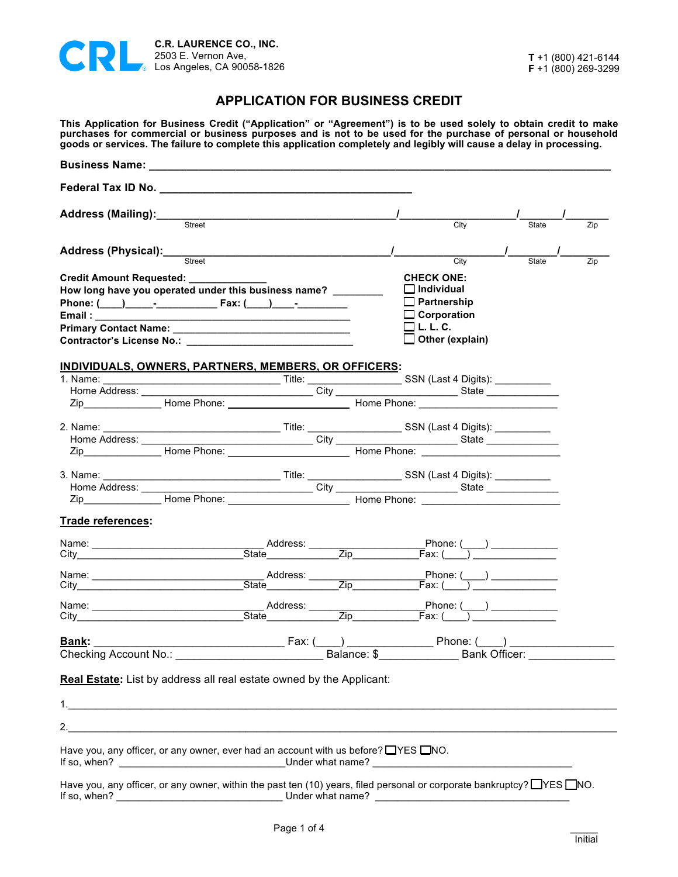

## **APPLICATION FOR BUSINESS CREDIT**

**This Application for Business Credit ("Application" or "Agreement") is to be used solely to obtain credit to make purchases for commercial or business purposes and is not to be used for the purchase of personal or household goods or services. The failure to complete this application completely and legibly will cause a delay in processing.**

|                                                                                                                                                                                                                                    | Business Name: Name: Name and South Assembly Management and Assembly Management and Assembly Management and Assembly                                                                                                           |                                                                 |              |     |
|------------------------------------------------------------------------------------------------------------------------------------------------------------------------------------------------------------------------------------|--------------------------------------------------------------------------------------------------------------------------------------------------------------------------------------------------------------------------------|-----------------------------------------------------------------|--------------|-----|
|                                                                                                                                                                                                                                    | Federal Tax ID No. No. Note that the set of the set of the set of the set of the set of the set of the set of the set of the set of the set of the set of the set of the set of the set of the set of the set of the set of th |                                                                 |              |     |
| Address (Mailing):___                                                                                                                                                                                                              |                                                                                                                                                                                                                                |                                                                 |              |     |
|                                                                                                                                                                                                                                    | Street                                                                                                                                                                                                                         | City                                                            | <b>State</b> | Zip |
| Address (Physical): ________                                                                                                                                                                                                       |                                                                                                                                                                                                                                |                                                                 |              |     |
|                                                                                                                                                                                                                                    | Street                                                                                                                                                                                                                         | City                                                            | <b>State</b> | Zip |
| Credit Amount Requested: __________                                                                                                                                                                                                |                                                                                                                                                                                                                                | <b>CHECK ONE:</b>                                               |              |     |
|                                                                                                                                                                                                                                    | How long have you operated under this business name?                                                                                                                                                                           | $\Box$ Individual                                               |              |     |
|                                                                                                                                                                                                                                    |                                                                                                                                                                                                                                | $\Box$ Partnership                                              |              |     |
|                                                                                                                                                                                                                                    |                                                                                                                                                                                                                                | $\Box$ Corporation                                              |              |     |
|                                                                                                                                                                                                                                    |                                                                                                                                                                                                                                | $\square$ L. L. C.                                              |              |     |
|                                                                                                                                                                                                                                    |                                                                                                                                                                                                                                | Other (explain)                                                 |              |     |
|                                                                                                                                                                                                                                    |                                                                                                                                                                                                                                |                                                                 |              |     |
|                                                                                                                                                                                                                                    | INDIVIDUALS, OWNERS, PARTNERS, MEMBERS, OR OFFICERS:                                                                                                                                                                           |                                                                 |              |     |
|                                                                                                                                                                                                                                    |                                                                                                                                                                                                                                |                                                                 |              |     |
| Home Address: _____                                                                                                                                                                                                                |                                                                                                                                                                                                                                |                                                                 |              |     |
|                                                                                                                                                                                                                                    |                                                                                                                                                                                                                                |                                                                 |              |     |
|                                                                                                                                                                                                                                    |                                                                                                                                                                                                                                |                                                                 |              |     |
|                                                                                                                                                                                                                                    |                                                                                                                                                                                                                                |                                                                 |              |     |
|                                                                                                                                                                                                                                    |                                                                                                                                                                                                                                |                                                                 |              |     |
|                                                                                                                                                                                                                                    |                                                                                                                                                                                                                                |                                                                 |              |     |
|                                                                                                                                                                                                                                    |                                                                                                                                                                                                                                |                                                                 |              |     |
|                                                                                                                                                                                                                                    | Zip Home Phone: Home Phone: Home Phone: New York 21p                                                                                                                                                                           |                                                                 |              |     |
|                                                                                                                                                                                                                                    |                                                                                                                                                                                                                                |                                                                 |              |     |
| Trade references:                                                                                                                                                                                                                  |                                                                                                                                                                                                                                |                                                                 |              |     |
|                                                                                                                                                                                                                                    |                                                                                                                                                                                                                                | Phone: (____) __________                                        |              |     |
| City <b>Community</b> Community and the community of the community of the community of the community of the community of the community of the community of the community of the community of the community of the community of the |                                                                                                                                                                                                                                |                                                                 |              |     |
|                                                                                                                                                                                                                                    |                                                                                                                                                                                                                                |                                                                 |              |     |
|                                                                                                                                                                                                                                    | State                                                                                                                                                                                                                          |                                                                 |              |     |
|                                                                                                                                                                                                                                    |                                                                                                                                                                                                                                | Phone: $(\_\_\_)$                                               |              |     |
|                                                                                                                                                                                                                                    |                                                                                                                                                                                                                                | Fax: ( )                                                        |              |     |
|                                                                                                                                                                                                                                    |                                                                                                                                                                                                                                | Phone: (<br>$\overline{\phantom{a}}$ ) $\overline{\phantom{a}}$ |              |     |
| <b>Bank:</b>                                                                                                                                                                                                                       | Fax: (                                                                                                                                                                                                                         |                                                                 |              |     |

Page 1 of 4

If so, when? \_\_\_\_\_\_\_\_\_\_\_\_\_\_\_\_\_\_\_\_\_\_\_\_\_\_\_\_\_\_ Under what name? \_\_\_\_\_\_\_\_\_\_\_\_\_\_\_\_\_\_\_\_\_\_\_\_\_\_\_\_\_\_\_\_\_\_\_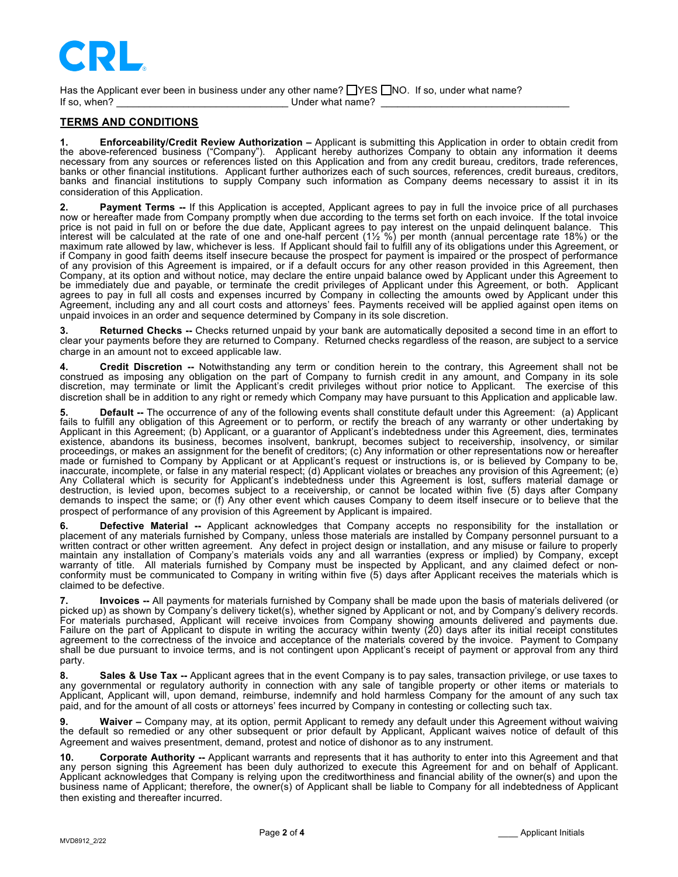

Has the Applicant ever been in business under any other name?  $\Box$  YES  $\Box$  NO. If so, under what name? If so, when? The sound of the Under what name?

## **TERMS AND CONDITIONS**

**1. Enforceability/Credit Review Authorization –** Applicant is submitting this Application in order to obtain credit from the above-referenced business ("Company"). Applicant hereby authorizes Company to obtain any information it deems necessary from any sources or references listed on this Application and from any credit bureau, creditors, trade references, banks or other financial institutions. Applicant further authorizes each of such sources, references, credit bureaus, creditors, banks and financial institutions to supply Company such information as Company deems necessary to assist it in its consideration of this Application.

**2. Payment Terms --** If this Application is accepted, Applicant agrees to pay in full the invoice price of all purchases now or hereafter made from Company promptly when due according to the terms set forth on each invoice. If the total invoice price is not paid in full on or before the due date, Applicant agrees to pay interest on the unpaid delinquent balance. This interest will be calculated at the rate of one and one-half percent (1½ %) per month (annual percentage rate 18%) or the maximum rate allowed by law, whichever is less. If Applicant should fail to fulfill any of its obligations under this Agreement, or if Company in good faith deems itself insecure because the prospect for payment is impaired or the prospect of performance of any provision of this Agreement is impaired, or if a default occurs for any other reason provided in this Agreement, then Company, at its option and without notice, may declare the entire unpaid balance owed by Applicant under this Agreement to be immediately due and payable, or terminate the credit privileges of Applicant under this Agreement, or both. Applicant agrees to pay in full all costs and expenses incurred by Company in collecting the amounts owed by Applicant under this Agreement, including any and all court costs and attorneys' fees. Payments received will be applied against open items on unpaid invoices in an order and sequence determined by Company in its sole discretion.

**3. Returned Checks --** Checks returned unpaid by your bank are automatically deposited a second time in an effort to clear your payments before they are returned to Company. Returned checks regardless of the reason, are subject to a service charge in an amount not to exceed applicable law.

**4. Credit Discretion --** Notwithstanding any term or condition herein to the contrary, this Agreement shall not be construed as imposing any obligation on the part of Company to furnish credit in any amount, and Company in its sole discretion, may terminate or limit the Applicant's credit privileges without prior notice to Applicant. The exercise of this discretion shall be in addition to any right or remedy which Company may have pursuant to this Application and applicable law.

5. Default -- The occurrence of any of the following events shall constitute default under this Agreement: (a) Applicant<br>fails to fulfill any obligation of this Agreement or to perform, or rectify the breach of any warrant Applicant in this Agreement; (b) Applicant, or a guarantor of Applicant's indebtedness under this Agreement, dies, terminates existence, abandons its business, becomes insolvent, bankrupt, becomes subject to receivership, insolvency, or similar proceedings, or makes an assignment for the benefit of creditors; (c) Any information or other representations now or hereafter made or furnished to Company by Applicant or at Applicant's request or instructions is, or is believed by Company to be, inaccurate, incomplete, or false in any material respect; (d) Applicant violates or breaches any provision of this Agreement; (e) Any Collateral which is security for Applicant's indebtedness under this Agreement is lost, suffers material damage or destruction, is levied upon, becomes subject to a receivership, or cannot be located within five (5) days after Company demands to inspect the same; or (f) Any other event which causes Company to deem itself insecure or to believe that the prospect of performance of any provision of this Agreement by Applicant is impaired.

6. **Defective Material --** Applicant acknowledges that Company accepts no responsibility for the installation or<br>placement of any materials furnished by Company, unless those materials are installed by Company personnel pu written contract or other written agreement. Any defect in project design or installation, and any misuse or failure to properly maintain any installation of Company's materials voids any and all warranties (express or implied) by Company, except warranty of title. All materials furnished by Company must be inspected by Applicant, and any claimed defect or nonconformity must be communicated to Company in writing within five (5) days after Applicant receives the materials which is claimed to be defective.

**7. Invoices --** All payments for materials furnished by Company shall be made upon the basis of materials delivered (or picked up) as shown by Company's delivery ticket(s), whether signed by Applicant or not, and by Company's delivery records. For materials purchased, Applicant will receive invoices from Company showing amounts delivered and payments due. Failure on the part of Applicant to dispute in writing the accuracy within twenty (20) days after its initial receipt constitutes agreement to the correctness of the invoice and acceptance of the materials covered by the invoice. Payment to Company shall be due pursuant to invoice terms, and is not contingent upon Applicant's receipt of payment or approval from any third party.

**8. Sales & Use Tax --** Applicant agrees that in the event Company is to pay sales, transaction privilege, or use taxes to any governmental or regulatory authority in connection with any sale of tangible property or other items or materials to Applicant, Applicant will, upon demand, reimburse, indemnify and hold harmless Company for the amount of any such tax paid, and for the amount of all costs or attorneys' fees incurred by Company in contesting or collecting such tax.

**9. Waiver –** Company may, at its option, permit Applicant to remedy any default under this Agreement without waiving the default so remedied or any other subsequent or prior default by Applicant, Applicant waives notice of default of this Agreement and waives presentment, demand, protest and notice of dishonor as to any instrument.

**10. Corporate Authority --** Applicant warrants and represents that it has authority to enter into this Agreement and that any person signing this Agreement has been duly authorized to execute this Agreement for and on behalf of Applicant. Applicant acknowledges that Company is relying upon the creditworthiness and financial ability of the owner(s) and upon the business name of Applicant; therefore, the owner(s) of Applicant shall be liable to Company for all indebtedness of Applicant then existing and thereafter incurred.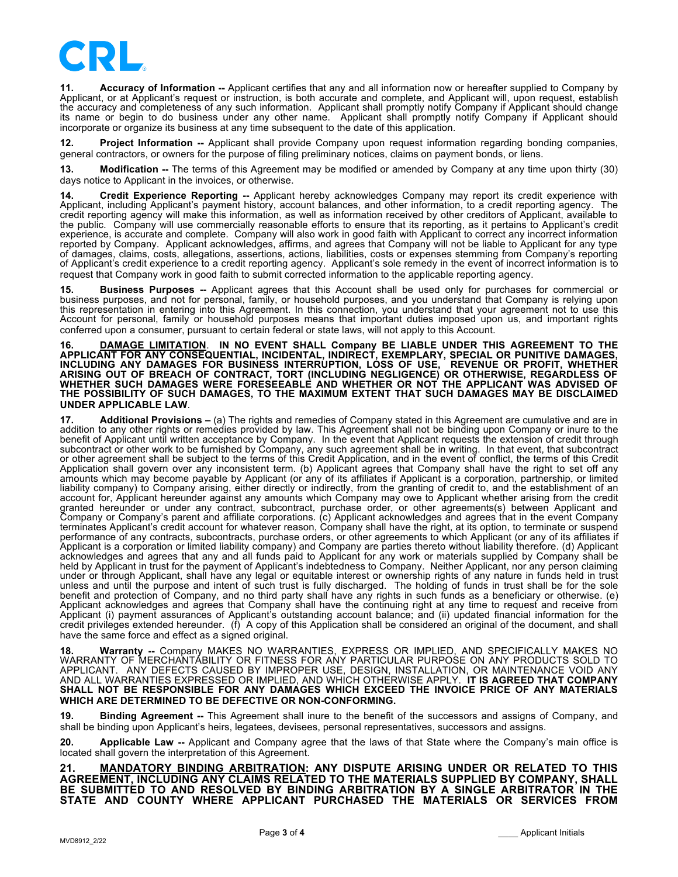

**11. Accuracy of Information --** Applicant certifies that any and all information now or hereafter supplied to Company by Applicant, or at Applicant's request or instruction, is both accurate and complete, and Applicant will, upon request, establish the accuracy and completeness of any such information. Applicant shall promptly notify Company if Applicant should change its name or begin to do business under any other name. Applicant shall promptly notify Company if Applicant should incorporate or organize its business at any time subsequent to the date of this application.

**12. Project Information --** Applicant shall provide Company upon request information regarding bonding companies, general contractors, or owners for the purpose of filing preliminary notices, claims on payment bonds, or liens.

**13. Modification --** The terms of this Agreement may be modified or amended by Company at any time upon thirty (30) days notice to Applicant in the invoices, or otherwise.

**14. Credit Experience Reporting --** Applicant hereby acknowledges Company may report its credit experience with<br>Applicant, including Applicant's payment history, account balances, and other information, to a credit report credit reporting agency will make this information, as well as information received by other creditors of Applicant, available to the public. Company will use commercially reasonable efforts to ensure that its reporting, as it pertains to Applicant's credit experience, is accurate and complete. Company will also work in good faith with Applicant to correct any incorrect information reported by Company. Applicant acknowledges, affirms, and agrees that Company will not be liable to Applicant for any type of damages, claims, costs, allegations, assertions, actions, liabilities, costs or expenses stemming from Company's reporting of Applicant's credit experience to a credit reporting agency. Applicant's sole remedy in the event of incorrect information is to request that Company work in good faith to submit corrected information to the applicable reporting agency.

**15. Business Purposes --** Applicant agrees that this Account shall be used only for purchases for commercial or business purposes, and not for personal, family, or household purposes, and you understand that Company is relying upon this representation in entering into this Agreement. In this connection, you understand that your agreement not to use this Account for personal, family or household purposes means that important duties imposed upon us, and important rights conferred upon a consumer, pursuant to certain federal or state laws, will not apply to this Account.

**16. DAMAGE LIMITATION**. **IN NO EVENT SHALL Company BE LIABLE UNDER THIS AGREEMENT TO THE APPLICANT FOR ANY CONSEQUENTIAL, INCIDENTAL, INDIRECT, EXEMPLARY, SPECIAL OR PUNITIVE DAMAGES, INCLUDING ANY DAMAGES FOR BUSINESS INTERRUPTION, LOSS OF USE, REVENUE OR PROFIT, WHETHER ARISING OUT OF BREACH OF CONTRACT, TORT (INCLUDING NEGLIGENCE) OR OTHERWISE, REGARDLESS OF WHETHER SUCH DAMAGES WERE FORESEEABLE AND WHETHER OR NOT THE APPLICANT WAS ADVISED OF THE POSSIBILITY OF SUCH DAMAGES, TO THE MAXIMUM EXTENT THAT SUCH DAMAGES MAY BE DISCLAIMED UNDER APPLICABLE LAW**.

**17. Additional Provisions –** (a) The rights and remedies of Company stated in this Agreement are cumulative and are in addition to any other rights or remedies provided by law. This Agreement shall not be binding upon Company or inure to the benefit of Applicant until written acceptance by Company. In the event that Applicant requests the extension of credit through subcontract or other work to be furnished by Company, any such agreement shall be in writing. In that event, that subcontract or other agreement shall be subject to the terms of this Credit Application, and in the event of conflict, the terms of this Credit Application shall govern over any inconsistent term. (b) Applicant agrees that Company shall have the right to set off any amounts which may become payable by Applicant (or any of its affiliates if Applicant is a corporation, partnership, or limited liability company) to Company arising, either directly or indirectly, from the granting of credit to, and the establishment of an account for, Applicant hereunder against any amounts which Company may owe to Applicant whether arising from the credit granted hereunder or under any contract, subcontract, purchase order, or other agreements(s) between Applicant and Company or Company's parent and affiliate corporations. (c) Applicant acknowledges and agrees that in the event Company terminates Applicant's credit account for whatever reason, Company shall have the right, at its option, to terminate or suspend performance of any contracts, subcontracts, purchase orders, or other agreements to which Applicant (or any of its affiliates if Applicant is a corporation or limited liability company) and Company are parties thereto without liability therefore. (d) Applicant acknowledges and agrees that any and all funds paid to Applicant for any work or materials supplied by Company shall be held by Applicant in trust for the payment of Applicant's indebtedness to Company. Neither Applicant, nor any person claiming under or through Applicant, shall have any legal or equitable interest or ownership rights of any nature in funds held in trust unless and until the purpose and intent of such trust is fully discharged. The holding of funds in trust shall be for the sole benefit and protection of Company, and no third party shall have any rights in such funds as a beneficiary or otherwise. (e) Applicant acknowledges and agrees that Company shall have the continuing right at any time to request and receive from Applicant (i) payment assurances of Applicant's outstanding account balance; and (ii) updated financial information for the credit privileges extended hereunder. (f) A copy of this Application shall be considered an original of the document, and shall have the same force and effect as a signed original.

**18. Warranty --** Company MAKES NO WARRANTIES, EXPRESS OR IMPLIED, AND SPECIFICALLY MAKES NO WARRANTY OF MERCHANTABILITY OR FITNESS FOR ANY PARTICULAR PURPOSE ON ANY PRODUCTS SOLD TO APPLICANT. ANY DEFECTS CAUSED BY IMPROPER USE, DESIGN, INSTALLATION, OR MAINTENANCE VOID ANY AND ALL WARRANTIES EXPRESSED OR IMPLIED, AND WHICH OTHERWISE APPLY. **IT IS AGREED THAT COMPANY SHALL NOT BE RESPONSIBLE FOR ANY DAMAGES WHICH EXCEED THE INVOICE PRICE OF ANY MATERIALS WHICH ARE DETERMINED TO BE DEFECTIVE OR NON-CONFORMING.**

**19. Binding Agreement --** This Agreement shall inure to the benefit of the successors and assigns of Company, and shall be binding upon Applicant's heirs, legatees, devisees, personal representatives, successors and assigns.

**20. Applicable Law --** Applicant and Company agree that the laws of that State where the Company's main office is located shall govern the interpretation of this Agreement.

**21. MANDATORY BINDING ARBITRATION: ANY DISPUTE ARISING UNDER OR RELATED TO THIS AGREEMENT, INCLUDING ANY CLAIMS RELATED TO THE MATERIALS SUPPLIED BY COMPANY, SHALL BE SUBMITTED TO AND RESOLVED BY BINDING ARBITRATION BY A SINGLE ARBITRATOR IN THE STATE AND COUNTY WHERE APPLICANT PURCHASED THE MATERIALS OR SERVICES FROM**